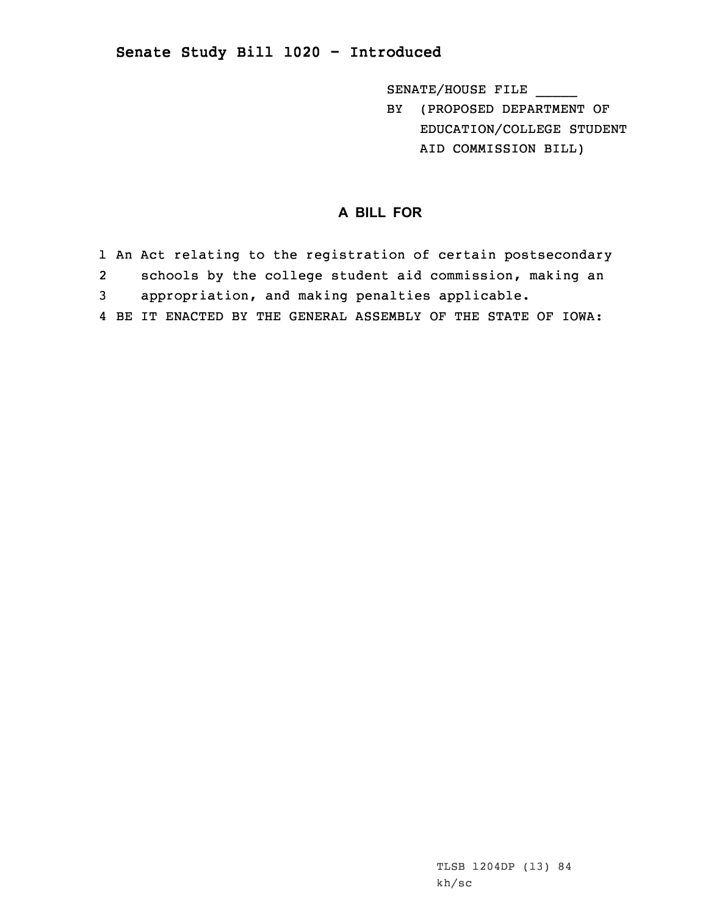## **Senate Study Bill 1020 - Introduced**

SENATE/HOUSE FILE

BY (PROPOSED DEPARTMENT OF EDUCATION/COLLEGE STUDENT AID COMMISSION BILL)

## **A BILL FOR**

1 An Act relating to the registration of certain postsecondary 2 schools by the college student aid commission, making an 3 appropriation, and making penalties applicable. 4 BE IT ENACTED BY THE GENERAL ASSEMBLY OF THE STATE OF IOWA: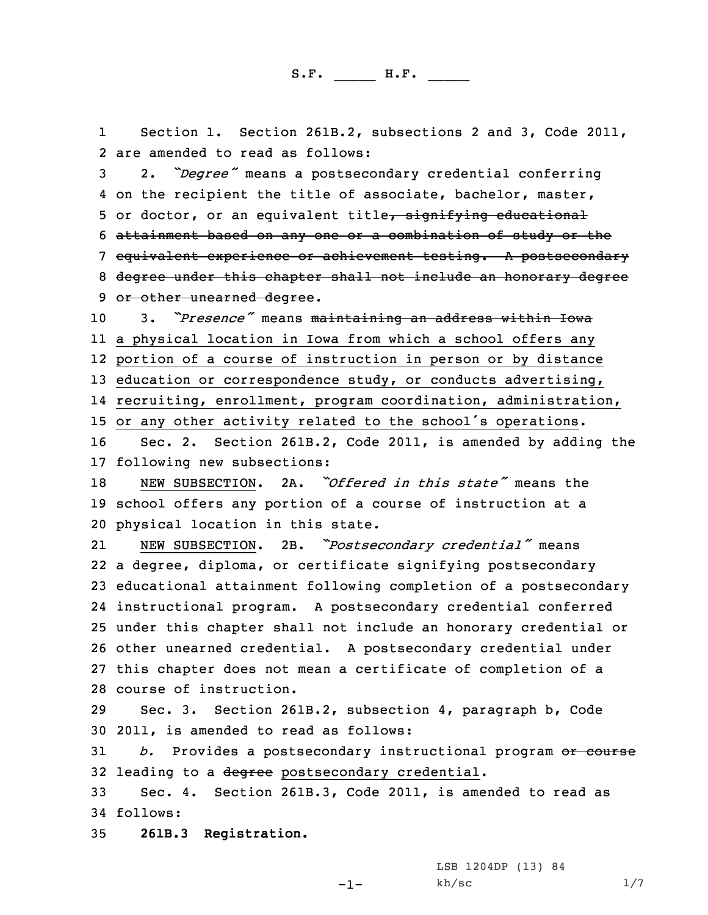1 Section 1. Section 261B.2, subsections 2 and 3, Code 2011, 2 are amended to read as follows:

 2. *"Degree"* means <sup>a</sup> postsecondary credential conferring on the recipient the title of associate, bachelor, master, 5 or doctor, or an equivalent title, signifying educational attainment based on any one or <sup>a</sup> combination of study or the equivalent experience or achievement testing. <sup>A</sup> postsecondary degree under this chapter shall not include an honorary degree 9 or other unearned degree.

 3. *"Presence"* means maintaining an address within Iowa <sup>a</sup> physical location in Iowa from which <sup>a</sup> school offers any portion of <sup>a</sup> course of instruction in person or by distance 13 education or correspondence study, or conducts advertising, recruiting, enrollment, program coordination, administration, or any other activity related to the school's operations.

16 Sec. 2. Section 261B.2, Code 2011, is amended by adding the 17 following new subsections:

18 NEW SUBSECTION. 2A. *"Offered in this state"* means the 19 school offers any portion of <sup>a</sup> course of instruction at <sup>a</sup> 20 physical location in this state.

21 NEW SUBSECTION. 2B. *"Postsecondary credential"* means <sup>a</sup> degree, diploma, or certificate signifying postsecondary educational attainment following completion of <sup>a</sup> postsecondary instructional program. <sup>A</sup> postsecondary credential conferred under this chapter shall not include an honorary credential or other unearned credential. <sup>A</sup> postsecondary credential under this chapter does not mean <sup>a</sup> certificate of completion of <sup>a</sup> course of instruction.

29 Sec. 3. Section 261B.2, subsection 4, paragraph b, Code 30 2011, is amended to read as follows:

31 *b.* Provides <sup>a</sup> postsecondary instructional program or course 32 leading to a degree postsecondary credential.

33 Sec. 4. Section 261B.3, Code 2011, is amended to read as 34 follows:

35 **261B.3 Registration.**

LSB 1204DP (13) 84

 $kh/sec$  1/7

 $-1-$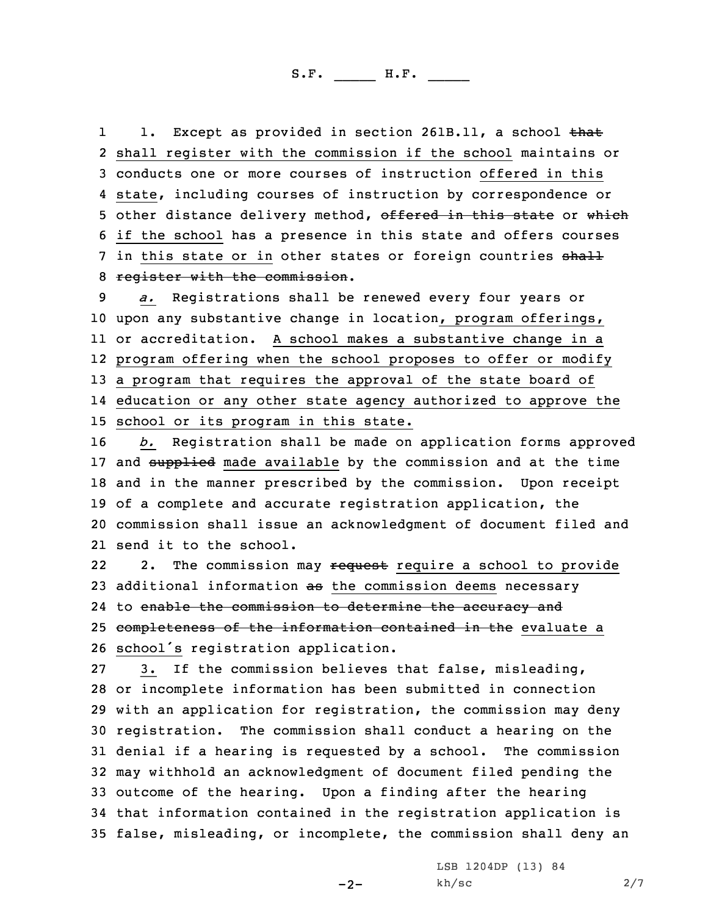11. Except as provided in section 261B.11, a school that 2 shall register with the commission if the school maintains or 3 conducts one or more courses of instruction offered in this 4 state, including courses of instruction by correspondence or 5 other distance delivery method, offered in this state or which 6 if the school has <sup>a</sup> presence in this state and offers courses 7 in this state or in other states or foreign countries shall 8 register with the commission.

 *a.* Registrations shall be renewed every four years or upon any substantive change in location, program offerings, or accreditation. <sup>A</sup> school makes <sup>a</sup> substantive change in <sup>a</sup> program offering when the school proposes to offer or modify <sup>a</sup> program that requires the approval of the state board of education or any other state agency authorized to approve the school or its program in this state.

 *b.* Registration shall be made on application forms approved 17 and supplied made available by the commission and at the time and in the manner prescribed by the commission. Upon receipt of <sup>a</sup> complete and accurate registration application, the commission shall issue an acknowledgment of document filed and send it to the school.

222. The commission may request require a school to provide 23 additional information as the commission deems necessary 24 to <del>enable the commission to determine the accuracy and</del> 25 completeness of the information contained in the evaluate a <sup>26</sup> school's registration application.

 3. If the commission believes that false, misleading, or incomplete information has been submitted in connection with an application for registration, the commission may deny registration. The commission shall conduct <sup>a</sup> hearing on the denial if <sup>a</sup> hearing is requested by <sup>a</sup> school. The commission may withhold an acknowledgment of document filed pending the outcome of the hearing. Upon <sup>a</sup> finding after the hearing that information contained in the registration application is false, misleading, or incomplete, the commission shall deny an

 $-2-$ 

LSB 1204DP (13) 84  $kh/sec$  2/7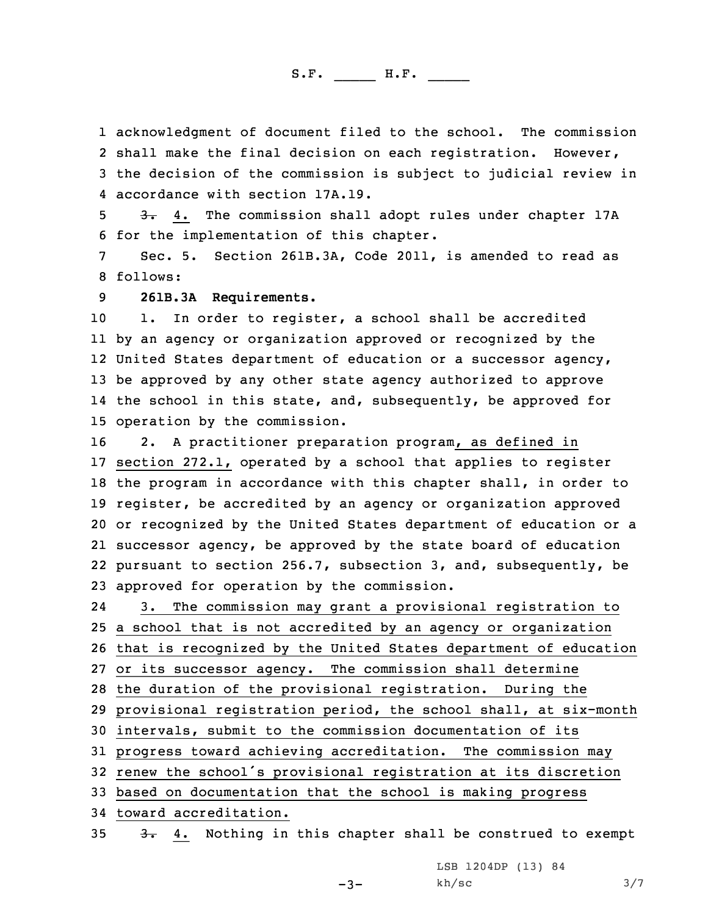acknowledgment of document filed to the school. The commission shall make the final decision on each registration. However, the decision of the commission is subject to judicial review in accordance with section 17A.19.

5 3. 4. The commission shall adopt rules under chapter 17A 6 for the implementation of this chapter.

7 Sec. 5. Section 261B.3A, Code 2011, is amended to read as 8 follows:

9 **261B.3A Requirements.**

10 1. In order to register, a school shall be accredited by an agency or organization approved or recognized by the United States department of education or <sup>a</sup> successor agency, be approved by any other state agency authorized to approve the school in this state, and, subsequently, be approved for operation by the commission.

 2. <sup>A</sup> practitioner preparation program, as defined in section 272.1, operated by <sup>a</sup> school that applies to register the program in accordance with this chapter shall, in order to register, be accredited by an agency or organization approved or recognized by the United States department of education or <sup>a</sup> successor agency, be approved by the state board of education pursuant to section 256.7, subsection 3, and, subsequently, be approved for operation by the commission.

24 3. The commission may grant <sup>a</sup> provisional registration to <sup>a</sup> school that is not accredited by an agency or organization that is recognized by the United States department of education or its successor agency. The commission shall determine the duration of the provisional registration. During the provisional registration period, the school shall, at six-month intervals, submit to the commission documentation of its progress toward achieving accreditation. The commission may renew the school's provisional registration at its discretion based on documentation that the school is making progress toward accreditation.

 $35$   $3.4$ . Nothing in this chapter shall be construed to exempt

LSB 1204DP (13) 84

 $kh/sec$  3/7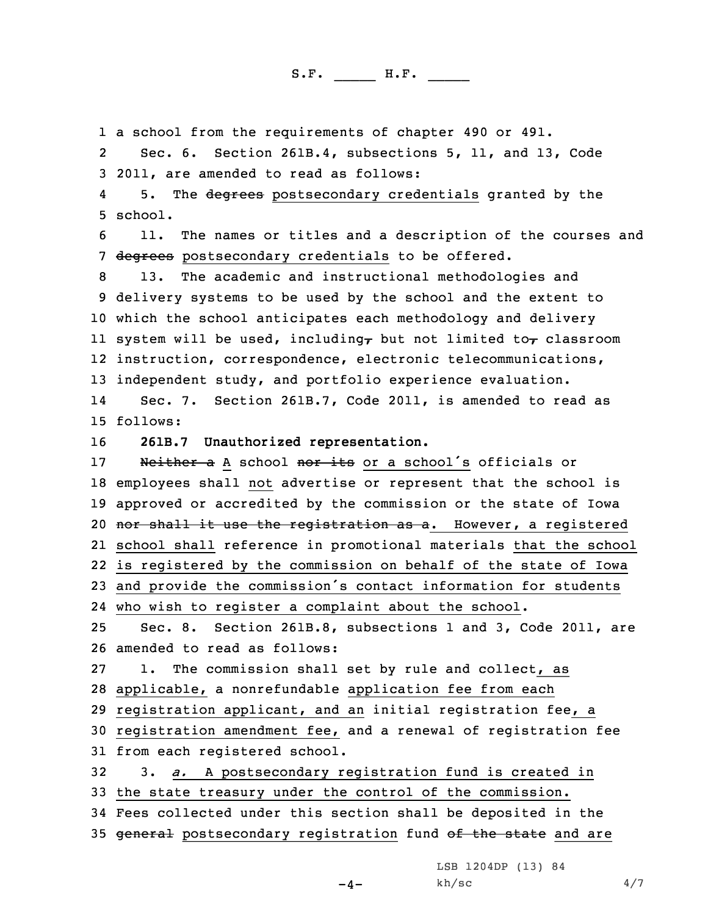1 <sup>a</sup> school from the requirements of chapter 490 or 491.

2 Sec. 6. Section 261B.4, subsections 5, 11, and 13, Code 3 2011, are amended to read as follows:

45. The degrees postsecondary credentials granted by the 5 school.

6 11. The names or titles and <sup>a</sup> description of the courses and 7 degrees postsecondary credentials to be offered.

 13. The academic and instructional methodologies and delivery systems to be used by the school and the extent to which the school anticipates each methodology and delivery 11 system will be used, including, but not limited to, classroom instruction, correspondence, electronic telecommunications, independent study, and portfolio experience evaluation.

14 Sec. 7. Section 261B.7, Code 2011, is amended to read as 15 follows:

16 **261B.7 Unauthorized representation.**

17 Neither a A school nor its or a school's officials or employees shall not advertise or represent that the school is approved or accredited by the commission or the state of Iowa 20 nor shall it use the registration as a. However, a registered school shall reference in promotional materials that the school is registered by the commission on behalf of the state of Iowa and provide the commission's contact information for students

24 who wish to register <sup>a</sup> complaint about the school.

25 Sec. 8. Section 261B.8, subsections 1 and 3, Code 2011, are 26 amended to read as follows:

27 1. The commission shall set by rule and collect, as 28 applicable, <sup>a</sup> nonrefundable application fee from each

29 registration applicant, and an initial registration fee, <sup>a</sup>

30 registration amendment fee, and <sup>a</sup> renewal of registration fee 31 from each registered school.

32 3. *a.* <sup>A</sup> postsecondary registration fund is created in 33 the state treasury under the control of the commission. 34 Fees collected under this section shall be deposited in the

35 general postsecondary registration fund of the state and are

LSB 1204DP (13) 84

 $-4-$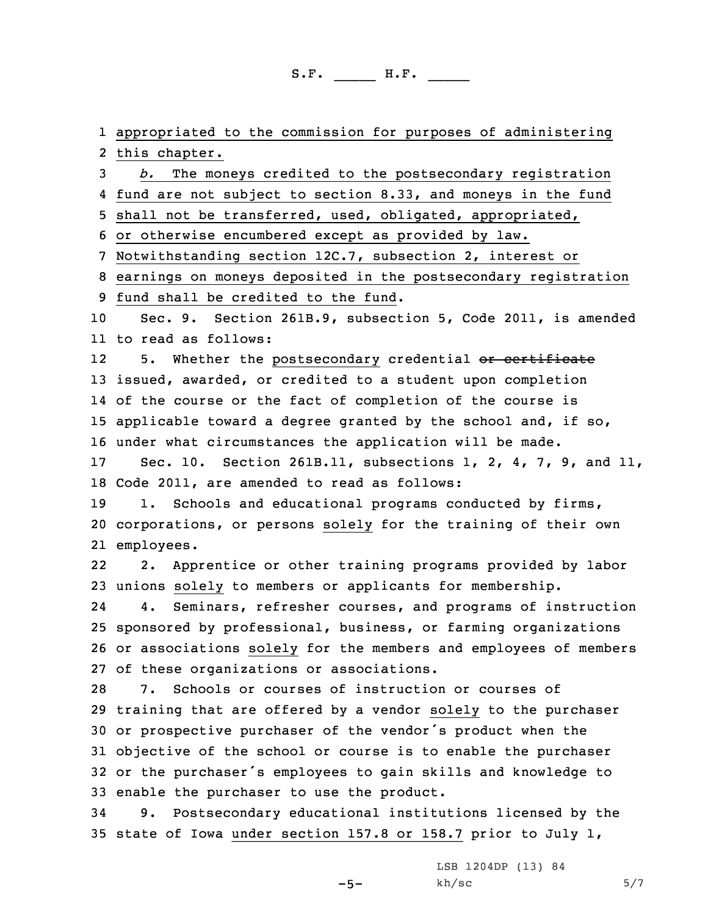1 appropriated to the commission for purposes of administering 2 this chapter.

 *b.* The moneys credited to the postsecondary registration fund are not subject to section 8.33, and moneys in the fund shall not be transferred, used, obligated, appropriated, or otherwise encumbered except as provided by law.

7 Notwithstanding section 12C.7, subsection 2, interest or

8 earnings on moneys deposited in the postsecondary registration

9 fund shall be credited to the fund.

10 Sec. 9. Section 261B.9, subsection 5, Code 2011, is amended 11 to read as follows:

125. Whether the postsecondary credential or certificate issued, awarded, or credited to <sup>a</sup> student upon completion of the course or the fact of completion of the course is applicable toward <sup>a</sup> degree granted by the school and, if so, under what circumstances the application will be made.

17 Sec. 10. Section 261B.11, subsections 1, 2, 4, 7, 9, and 11, 18 Code 2011, are amended to read as follows:

19 1. Schools and educational programs conducted by firms, 20 corporations, or persons solely for the training of their own 21 employees.

22 2. Apprentice or other training programs provided by labor 23 unions solely to members or applicants for membership.

24 4. Seminars, refresher courses, and programs of instruction 25 sponsored by professional, business, or farming organizations 26 or associations solely for the members and employees of members 27 of these organizations or associations.

 7. Schools or courses of instruction or courses of training that are offered by <sup>a</sup> vendor solely to the purchaser or prospective purchaser of the vendor's product when the objective of the school or course is to enable the purchaser or the purchaser's employees to gain skills and knowledge to enable the purchaser to use the product.

34 9. Postsecondary educational institutions licensed by the 35 state of Iowa under section 157.8 or 158.7 prior to July 1,

-5-

LSB 1204DP (13) 84  $kh/sec$  5/7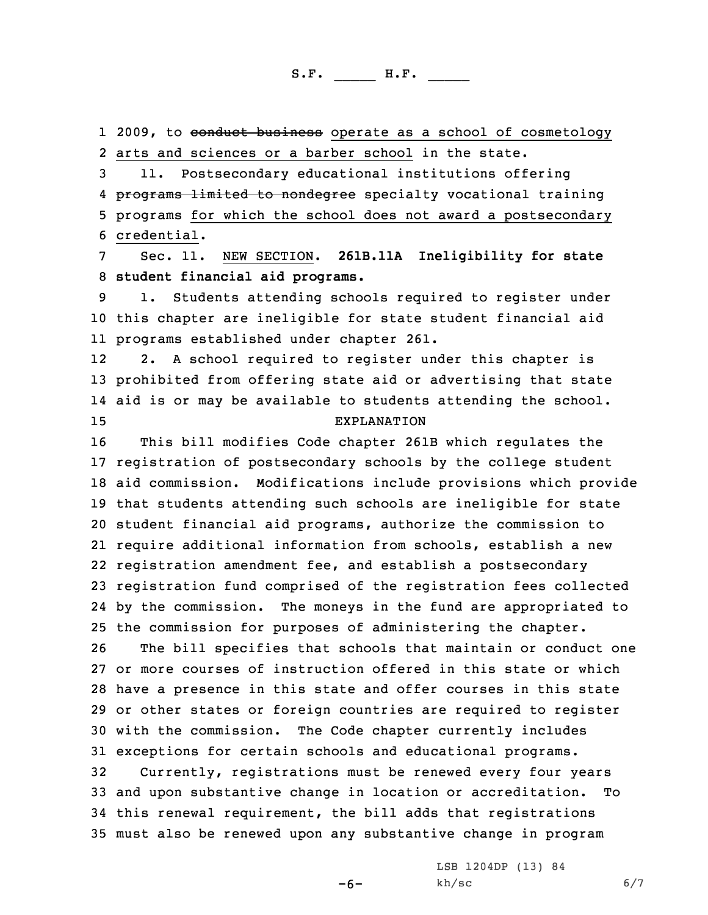1 2009, to conduct business operate as a school of cosmetology 2 arts and sciences or <sup>a</sup> barber school in the state.

 11. Postsecondary educational institutions offering 4 <del>programs limited to nondegree</del> specialty vocational training programs for which the school does not award <sup>a</sup> postsecondary credential.

7 Sec. 11. NEW SECTION. **261B.11A Ineligibility for state** 8 **student financial aid programs.**

9 1. Students attending schools required to register under 10 this chapter are ineligible for state student financial aid 11 programs established under chapter 261.

12 2. <sup>A</sup> school required to register under this chapter is 13 prohibited from offering state aid or advertising that state 14 aid is or may be available to students attending the school. 15 EXPLANATION

 This bill modifies Code chapter 261B which regulates the registration of postsecondary schools by the college student aid commission. Modifications include provisions which provide that students attending such schools are ineligible for state student financial aid programs, authorize the commission to require additional information from schools, establish <sup>a</sup> new registration amendment fee, and establish <sup>a</sup> postsecondary registration fund comprised of the registration fees collected by the commission. The moneys in the fund are appropriated to the commission for purposes of administering the chapter.

 The bill specifies that schools that maintain or conduct one or more courses of instruction offered in this state or which have <sup>a</sup> presence in this state and offer courses in this state or other states or foreign countries are required to register with the commission. The Code chapter currently includes exceptions for certain schools and educational programs. Currently, registrations must be renewed every four years and upon substantive change in location or accreditation. To this renewal requirement, the bill adds that registrations must also be renewed upon any substantive change in program

-6-

LSB 1204DP (13) 84  $kh/sec$  6/7